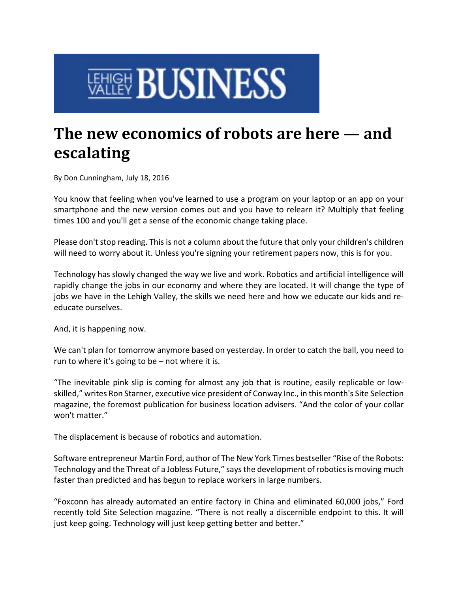## **ENERE BUSINESS**

## **The new economics of robots are here — and escalating**

By Don Cunningham, July 18, 2016

You know that feeling when you've learned to use a program on your laptop or an app on your smartphone and the new version comes out and you have to relearn it? Multiply that feeling times 100 and you'll get a sense of the economic change taking place.

Please don't stop reading. This is not a column about the future that only your children's children will need to worry about it. Unless you're signing your retirement papers now, this is for you.

Technology has slowly changed the way we live and work. Robotics and artificial intelligence will rapidly change the jobs in our economy and where they are located. It will change the type of jobs we have in the Lehigh Valley, the skills we need here and how we educate our kids and re‐ educate ourselves.

And, it is happening now.

We can't plan for tomorrow anymore based on yesterday. In order to catch the ball, you need to run to where it's going to be – not where it is.

"The inevitable pink slip is coming for almost any job that is routine, easily replicable or low‐ skilled," writes Ron Starner, executive vice president of Conway Inc., in this month's Site Selection magazine, the foremost publication for business location advisers. "And the color of your collar won't matter."

The displacement is because of robotics and automation.

Software entrepreneur Martin Ford, author of The New York Times bestseller "Rise of the Robots: Technology and the Threat of a Jobless Future," says the development of robotics is moving much faster than predicted and has begun to replace workers in large numbers.

"Foxconn has already automated an entire factory in China and eliminated 60,000 jobs," Ford recently told Site Selection magazine. "There is not really a discernible endpoint to this. It will just keep going. Technology will just keep getting better and better."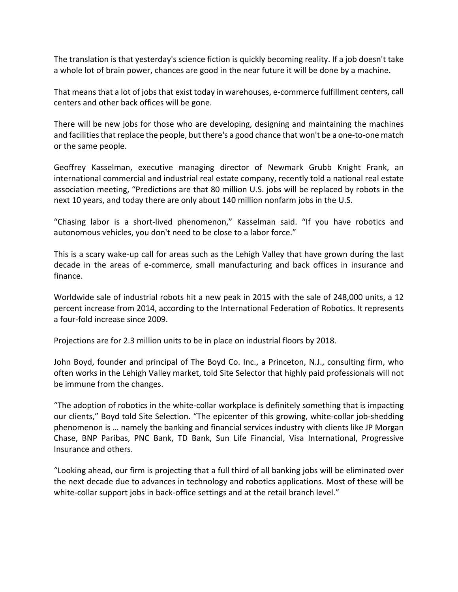The translation is that yesterday's science fiction is quickly becoming reality. If a job doesn't take a whole lot of brain power, chances are good in the near future it will be done by a machine.

That meansthat a lot of jobs that exist today in warehouses, e‐commerce fulfillment centers, call centers and other back offices will be gone.

There will be new jobs for those who are developing, designing and maintaining the machines and facilities that replace the people, but there's a good chance that won't be a one-to-one match or the same people.

Geoffrey Kasselman, executive managing director of Newmark Grubb Knight Frank, an international commercial and industrial real estate company, recently told a national real estate association meeting, "Predictions are that 80 million U.S. jobs will be replaced by robots in the next 10 years, and today there are only about 140 million nonfarm jobs in the U.S.

"Chasing labor is a short‐lived phenomenon," Kasselman said. "If you have robotics and autonomous vehicles, you don't need to be close to a labor force."

This is a scary wake‐up call for areas such as the Lehigh Valley that have grown during the last decade in the areas of e‐commerce, small manufacturing and back offices in insurance and finance.

Worldwide sale of industrial robots hit a new peak in 2015 with the sale of 248,000 units, a 12 percent increase from 2014, according to the International Federation of Robotics. It represents a four‐fold increase since 2009.

Projections are for 2.3 million units to be in place on industrial floors by 2018.

John Boyd, founder and principal of The Boyd Co. Inc., a Princeton, N.J., consulting firm, who often works in the Lehigh Valley market, told Site Selector that highly paid professionals will not be immune from the changes.

"The adoption of robotics in the white‐collar workplace is definitely something that is impacting our clients," Boyd told Site Selection. "The epicenter of this growing, white-collar job-shedding phenomenon is … namely the banking and financial services industry with clients like JP Morgan Chase, BNP Paribas, PNC Bank, TD Bank, Sun Life Financial, Visa International, Progressive Insurance and others.

"Looking ahead, our firm is projecting that a full third of all banking jobs will be eliminated over the next decade due to advances in technology and robotics applications. Most of these will be white-collar support jobs in back-office settings and at the retail branch level."